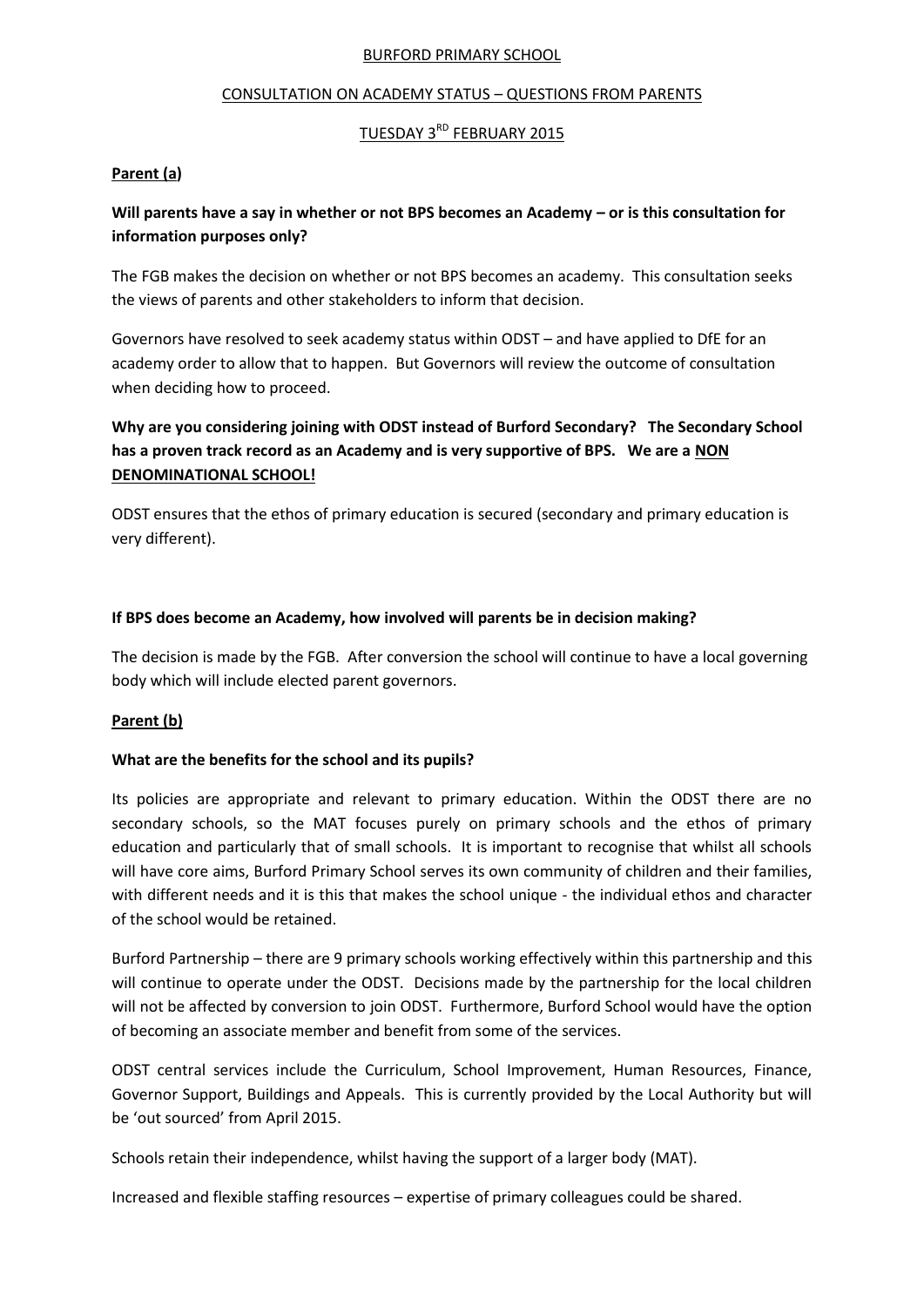#### BURFORD PRIMARY SCHOOL

### CONSULTATION ON ACADEMY STATUS – QUESTIONS FROM PARENTS

# TUESDAY 3RD FEBRUARY 2015

### **Parent (a)**

# **Will parents have a say in whether or not BPS becomes an Academy – or is this consultation for information purposes only?**

The FGB makes the decision on whether or not BPS becomes an academy. This consultation seeks the views of parents and other stakeholders to inform that decision.

Governors have resolved to seek academy status within ODST – and have applied to DfE for an academy order to allow that to happen. But Governors will review the outcome of consultation when deciding how to proceed.

# **Why are you considering joining with ODST instead of Burford Secondary? The Secondary School has a proven track record as an Academy and is very supportive of BPS. We are a NON DENOMINATIONAL SCHOOL!**

ODST ensures that the ethos of primary education is secured (secondary and primary education is very different).

### **If BPS does become an Academy, how involved will parents be in decision making?**

The decision is made by the FGB. After conversion the school will continue to have a local governing body which will include elected parent governors.

## **Parent (b)**

## **What are the benefits for the school and its pupils?**

Its policies are appropriate and relevant to primary education. Within the ODST there are no secondary schools, so the MAT focuses purely on primary schools and the ethos of primary education and particularly that of small schools. It is important to recognise that whilst all schools will have core aims, Burford Primary School serves its own community of children and their families, with different needs and it is this that makes the school unique - the individual ethos and character of the school would be retained.

Burford Partnership – there are 9 primary schools working effectively within this partnership and this will continue to operate under the ODST. Decisions made by the partnership for the local children will not be affected by conversion to join ODST. Furthermore, Burford School would have the option of becoming an associate member and benefit from some of the services.

ODST central services include the Curriculum, School Improvement, Human Resources, Finance, Governor Support, Buildings and Appeals. This is currently provided by the Local Authority but will be 'out sourced' from April 2015.

Schools retain their independence, whilst having the support of a larger body (MAT).

Increased and flexible staffing resources – expertise of primary colleagues could be shared.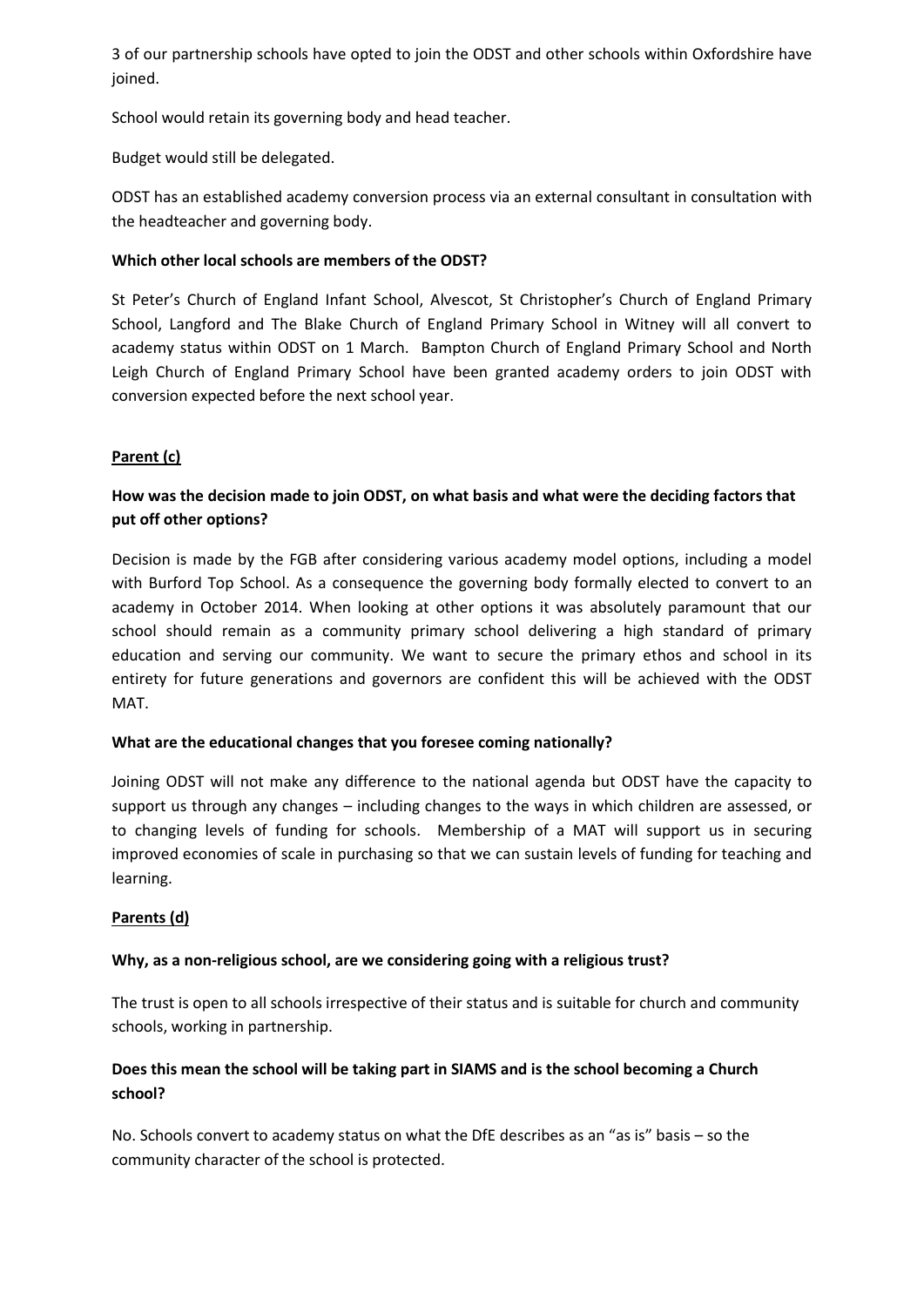3 of our partnership schools have opted to join the ODST and other schools within Oxfordshire have joined.

School would retain its governing body and head teacher.

Budget would still be delegated.

ODST has an established academy conversion process via an external consultant in consultation with the headteacher and governing body.

## **Which other local schools are members of the ODST?**

St Peter's Church of England Infant School, Alvescot, St Christopher's Church of England Primary School, Langford and The Blake Church of England Primary School in Witney will all convert to academy status within ODST on 1 March. Bampton Church of England Primary School and North Leigh Church of England Primary School have been granted academy orders to join ODST with conversion expected before the next school year.

# **Parent (c)**

# **How was the decision made to join ODST, on what basis and what were the deciding factors that put off other options?**

Decision is made by the FGB after considering various academy model options, including a model with Burford Top School. As a consequence the governing body formally elected to convert to an academy in October 2014. When looking at other options it was absolutely paramount that our school should remain as a community primary school delivering a high standard of primary education and serving our community. We want to secure the primary ethos and school in its entirety for future generations and governors are confident this will be achieved with the ODST MAT.

## **What are the educational changes that you foresee coming nationally?**

Joining ODST will not make any difference to the national agenda but ODST have the capacity to support us through any changes – including changes to the ways in which children are assessed, or to changing levels of funding for schools. Membership of a MAT will support us in securing improved economies of scale in purchasing so that we can sustain levels of funding for teaching and learning.

## **Parents (d)**

## **Why, as a non-religious school, are we considering going with a religious trust?**

The trust is open to all schools irrespective of their status and is suitable for church and community schools, working in partnership.

# **Does this mean the school will be taking part in SIAMS and is the school becoming a Church school?**

No. Schools convert to academy status on what the DfE describes as an "as is" basis – so the community character of the school is protected.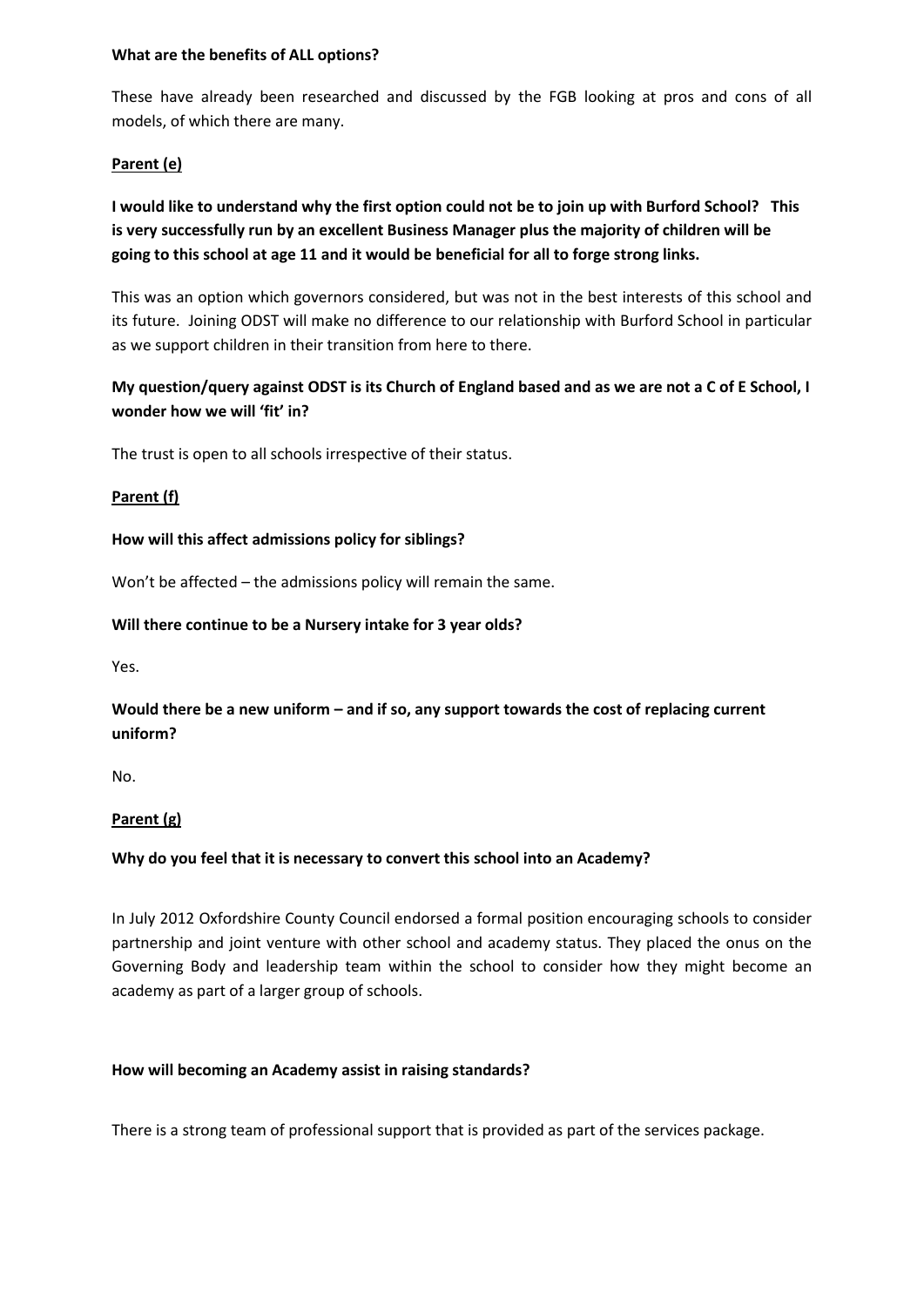### **What are the benefits of ALL options?**

These have already been researched and discussed by the FGB looking at pros and cons of all models, of which there are many.

## **Parent (e)**

# **I would like to understand why the first option could not be to join up with Burford School? This is very successfully run by an excellent Business Manager plus the majority of children will be going to this school at age 11 and it would be beneficial for all to forge strong links.**

This was an option which governors considered, but was not in the best interests of this school and its future. Joining ODST will make no difference to our relationship with Burford School in particular as we support children in their transition from here to there.

# **My question/query against ODST is its Church of England based and as we are not a C of E School, I wonder how we will 'fit' in?**

The trust is open to all schools irrespective of their status.

### **Parent (f)**

### **How will this affect admissions policy for siblings?**

Won't be affected – the admissions policy will remain the same.

### **Will there continue to be a Nursery intake for 3 year olds?**

Yes.

# **Would there be a new uniform – and if so, any support towards the cost of replacing current uniform?**

No.

# **Parent (g)**

# **Why do you feel that it is necessary to convert this school into an Academy?**

In July 2012 Oxfordshire County Council endorsed a formal position encouraging schools to consider partnership and joint venture with other school and academy status. They placed the onus on the Governing Body and leadership team within the school to consider how they might become an academy as part of a larger group of schools.

# **How will becoming an Academy assist in raising standards?**

There is a strong team of professional support that is provided as part of the services package.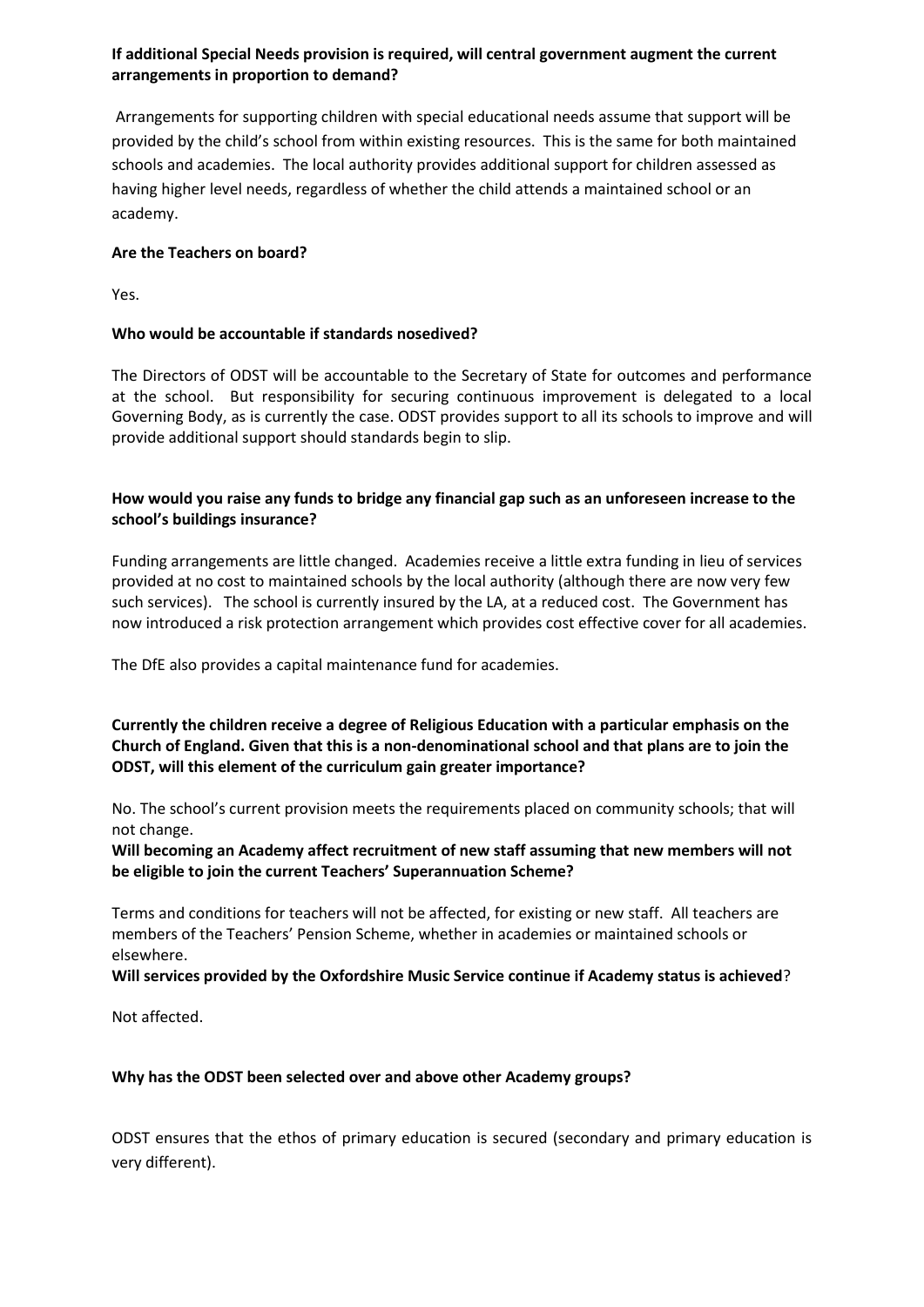## **If additional Special Needs provision is required, will central government augment the current arrangements in proportion to demand?**

Arrangements for supporting children with special educational needs assume that support will be provided by the child's school from within existing resources. This is the same for both maintained schools and academies. The local authority provides additional support for children assessed as having higher level needs, regardless of whether the child attends a maintained school or an academy.

## **Are the Teachers on board?**

Yes.

## **Who would be accountable if standards nosedived?**

The Directors of ODST will be accountable to the Secretary of State for outcomes and performance at the school. But responsibility for securing continuous improvement is delegated to a local Governing Body, as is currently the case. ODST provides support to all its schools to improve and will provide additional support should standards begin to slip.

## **How would you raise any funds to bridge any financial gap such as an unforeseen increase to the school's buildings insurance?**

Funding arrangements are little changed. Academies receive a little extra funding in lieu of services provided at no cost to maintained schools by the local authority (although there are now very few such services). The school is currently insured by the LA, at a reduced cost. The Government has now introduced a risk protection arrangement which provides cost effective cover for all academies.

The DfE also provides a capital maintenance fund for academies.

**Currently the children receive a degree of Religious Education with a particular emphasis on the Church of England. Given that this is a non-denominational school and that plans are to join the ODST, will this element of the curriculum gain greater importance?**

No. The school's current provision meets the requirements placed on community schools; that will not change.

**Will becoming an Academy affect recruitment of new staff assuming that new members will not be eligible to join the current Teachers' Superannuation Scheme?**

Terms and conditions for teachers will not be affected, for existing or new staff. All teachers are members of the Teachers' Pension Scheme, whether in academies or maintained schools or elsewhere.

**Will services provided by the Oxfordshire Music Service continue if Academy status is achieved**?

Not affected.

## **Why has the ODST been selected over and above other Academy groups?**

ODST ensures that the ethos of primary education is secured (secondary and primary education is very different).